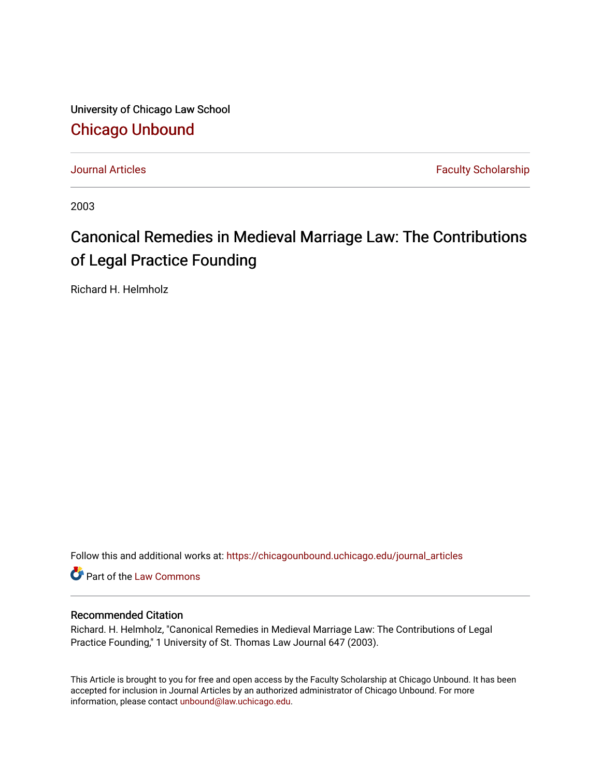University of Chicago Law School [Chicago Unbound](https://chicagounbound.uchicago.edu/)

[Journal Articles](https://chicagounbound.uchicago.edu/journal_articles) **Faculty Scholarship Journal Articles** 

2003

# Canonical Remedies in Medieval Marriage Law: The Contributions of Legal Practice Founding

Richard H. Helmholz

Follow this and additional works at: [https://chicagounbound.uchicago.edu/journal\\_articles](https://chicagounbound.uchicago.edu/journal_articles?utm_source=chicagounbound.uchicago.edu%2Fjournal_articles%2F1480&utm_medium=PDF&utm_campaign=PDFCoverPages) 

Part of the [Law Commons](http://network.bepress.com/hgg/discipline/578?utm_source=chicagounbound.uchicago.edu%2Fjournal_articles%2F1480&utm_medium=PDF&utm_campaign=PDFCoverPages)

### Recommended Citation

Richard. H. Helmholz, "Canonical Remedies in Medieval Marriage Law: The Contributions of Legal Practice Founding," 1 University of St. Thomas Law Journal 647 (2003).

This Article is brought to you for free and open access by the Faculty Scholarship at Chicago Unbound. It has been accepted for inclusion in Journal Articles by an authorized administrator of Chicago Unbound. For more information, please contact [unbound@law.uchicago.edu](mailto:unbound@law.uchicago.edu).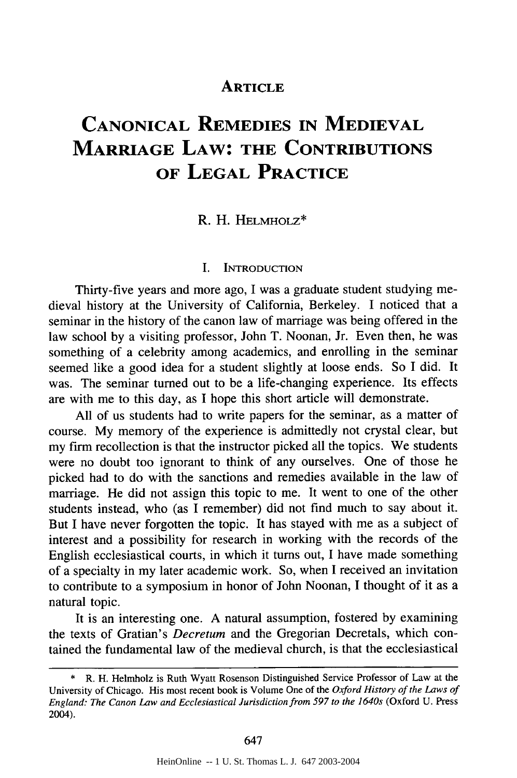## **ARTICLE**

# **CANONICAL REMEDIES IN MEDIEVAL MARRIAGE LAW: THE CONTRIBUTIONS OF LEGAL PRACTICE**

#### R. H. HELMHOLZ\*

#### I. INTRODUCTION

Thirty-five years and more ago, I was a graduate student studying medieval history at the University of California, Berkeley. I noticed that a seminar in the history of the canon law of marriage was being offered in the law school by a visiting professor, John T. Noonan, Jr. Even then, he was something of a celebrity among academics, and enrolling in the seminar seemed like a good idea for a student slightly at loose ends. So I did. It was. The seminar turned out to be a life-changing experience. Its effects are with me to this day, as I hope this short article will demonstrate.

All of us students had to write papers for the seminar, as a matter of course. My memory of the experience is admittedly not crystal clear, but my firm recollection is that the instructor picked all the topics. We students were no doubt too ignorant to think of any ourselves. One of those he picked had to do with the sanctions and remedies available in the law of marriage. He did not assign this topic to me. It went to one of the other students instead, who (as I remember) did not find much to say about it. But I have never forgotten the topic. It has stayed with me as a subject of interest and a possibility for research in working with the records of the English ecclesiastical courts, in which it turns out, I have made something of a specialty in my later academic work. So, when I received an invitation to contribute to a symposium in honor of John Noonan, I thought of it as a natural topic.

It is an interesting one. A natural assumption, fostered by examining the texts of Gratian's *Decretum* and the Gregorian Decretals, which contained the fundamental law of the medieval church, is that the ecclesiastical

<sup>\*</sup> R. H. Helmholz is Ruth Wyatt Rosenson Distinguished Service Professor of Law at the University of Chicago. His most recent book is Volume One of the *Oxford History of the Laws of* England: The Canon Law and Ecclesiastical Jurisdiction from 597 to the 1640s (Oxford U. Press 2004).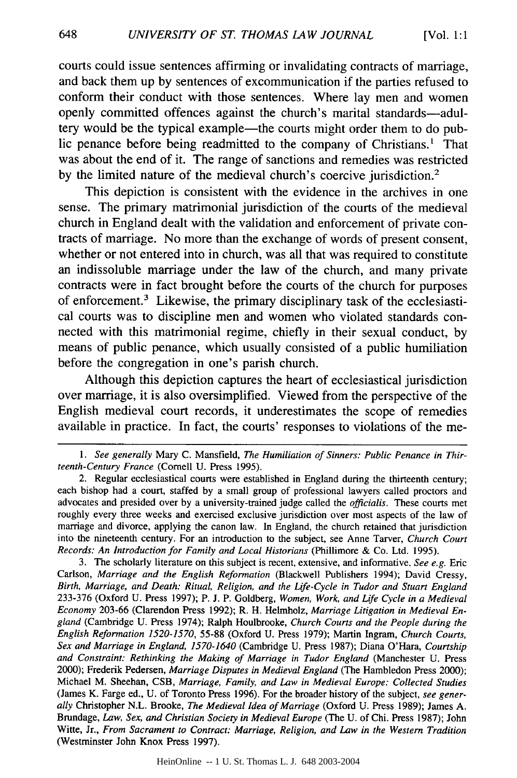courts could issue sentences affirming or invalidating contracts of marriage, and back them up **by** sentences of excommunication if the parties refused to conform their conduct with those sentences. Where lay men and women openly committed offences against the church's marital standards—adultery would be the typical example—the courts might order them to do public penance before being readmitted to the company of Christians.' That was about the end of it. The range of sanctions and remedies was restricted **by** the limited nature of the medieval church's coercive jurisdiction.2

This depiction is consistent with the evidence in the archives in one sense. The primary matrimonial jurisdiction of the courts of the medieval church in England dealt with the validation and enforcement of private contracts of marriage. No more than the exchange of words of present consent, whether or not entered into in church, was all that was required to constitute an indissoluble marriage under the law of the church, and many private contracts were in fact brought before the courts of the church for purposes of enforcement.3 Likewise, the primary disciplinary task of the ecclesiastical courts was to discipline men and women who violated standards connected with this matrimonial regime, chiefly in their sexual conduct, **by** means of public penance, which usually consisted of a public humiliation before the congregation in one's parish church.

Although this depiction captures the heart of ecclesiastical jurisdiction over marriage, it is also oversimplified. Viewed from the perspective of the English medieval court records, it underestimates the scope of remedies available in practice. In fact, the courts' responses to violations of the me-

3. The scholarly literature on this subject is recent, extensive, and informative. *See e.g.* Eric Carlson, *Marriage and the English Reformation* (Blackwell Publishers 1994); David Cressy, *Birth, Marriage, and Death: Ritual, Religion, and the Life-Cycle in Tudor and Stuart England* 233-376 (Oxford U. Press 1997); P. J. P. Goldberg, *Women, Work, and Life Cycle in a Medieval Economy* 203-66 (Clarendon Press 1992); R. H. Helmholz, *Marriage Litigation in Medieval England* (Cambridge U. Press 1974); Ralph Houlbrooke, *Church Courts and the People during the English Reformation 1520-1570,* 55-88 (Oxford U. Press 1979); Martin Ingram, *Church Courts, Sex and Marriage in England, 1570-1640* (Cambridge U. Press 1987); Diana O'Hara, *Courtship and Constraint: Rethinking the Making of Marriage in Tudor England* (Manchester U. Press 2000); Frederik Pedersen, *Marriage Disputes in Medieval England* (The Hambledon Press 2000); Michael M. Sheehan, CSB, *Marriage, Family, and Law in Medieval Europe: Collected Studies* (James K. Farge ed., U. of Toronto Press 1996). For the broader history of the subject, *see generally* Christopher N.L. Brooke, *The Medieval Idea of Marriage* (Oxford U. Press 1989); James A. Brundage, *Law, Sex, and Christian Society in Medieval Europe* (The U. of Chi. Press 1987); John Witte, Jr., *From Sacrament to Contract: Marriage, Religion, and Law in the Western Tradition* (Westminster John Knox Press 1997).

648

*<sup>1.</sup> See generally* Mary C. Mansfield, *The Humiliation of Sinners: Public Penance in Thirteenth-Century France* (Cornell U. Press 1995).

<sup>2.</sup> Regular ecclesiastical courts were established in England during the thirteenth century; each bishop had a court, staffed by a small group of professional lawyers called proctors and advocates and presided over by a university-trained judge called the *officialis.* These courts met roughly every three weeks and exercised exclusive jurisdiction over most aspects of the law of marriage and divorce, applying the canon law. In England, the church retained that jurisdiction into the nineteenth century. For an introduction to the subject, see Anne Tarver, *Church Court Records: An Introduction for Family and Local Historians* (Phillimore & Co. Ltd. 1995).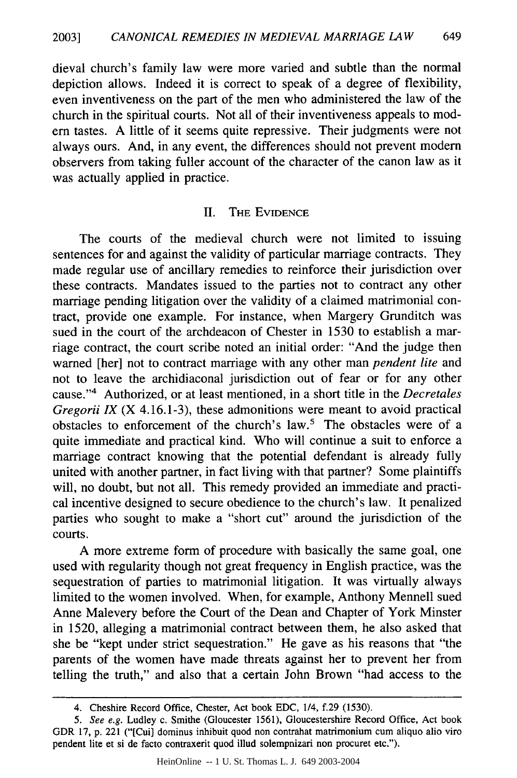dieval church's family law were more varied and subtle than the normal depiction allows. Indeed it is correct to speak of a degree of flexibility, even inventiveness on the part of the men who administered the law of the church in the spiritual courts. Not all of their inventiveness appeals to modem tastes. A little of it seems quite repressive. Their judgments were not always ours. And, in any event, the differences should not prevent modem observers from taking fuller account of the character of the canon law as it was actually applied in practice.

#### II. THE EVIDENCE

The courts of the medieval church were not limited to issuing sentences for and against the validity of particular marriage contracts. They made regular use of ancillary remedies to reinforce their jurisdiction over these contracts. Mandates issued to the parties not to contract any other marriage pending litigation over the validity of a claimed matrimonial contract, provide one example. For instance, when Margery Grunditch was sued in the court of the archdeacon of Chester in 1530 to establish a marriage contract, the court scribe noted an initial order: "And the judge then warned [her] not to contract marriage with any other man *pendent lite* and not to leave the archidiaconal jurisdiction out of fear or for any other cause." 4 Authorized, or at least mentioned, in a short title in the *Decretales Gregorii IX* (X 4.16.1-3), these admonitions were meant to avoid practical obstacles to enforcement of the church's law.<sup>5</sup> The obstacles were of a quite immediate and practical kind. Who will continue a suit to enforce a marriage contract knowing that the potential defendant is already fully united with another partner, in fact living with that partner? Some plaintiffs will, no doubt, but not all. This remedy provided an immediate and practical incentive designed to secure obedience to the church's law. It penalized parties who sought to make a "short cut" around the jurisdiction of the courts.

A more extreme form of procedure with basically the same goal, one used with regularity though not great frequency in English practice, was the sequestration of parties to matrimonial litigation. It was virtually always limited to the women involved. When, for example, Anthony Mennell sued Anne Malevery before the Court of the Dean and Chapter of York Minster in 1520, alleging a matrimonial contract between them, he also asked that she be "kept under strict sequestration." He gave as his reasons that "the parents of the women have made threats against her to prevent her from telling the truth," and also that a certain John Brown "had access to the

<sup>4.</sup> Cheshire Record Office, Chester, Act book EDC, 1/4, f.29 (1530).

*<sup>5.</sup>* See e.g. Ludley c. Smithe (Gloucester 1561), Gloucestershire Record Office, Act book GDR 17, p. 221 ("[Cui] dominus inhibuit quod non contrahat matrimonium cum aliquo alio viro pendent lite et si de facto contraxerit quod illud solempnizari non procuret etc.").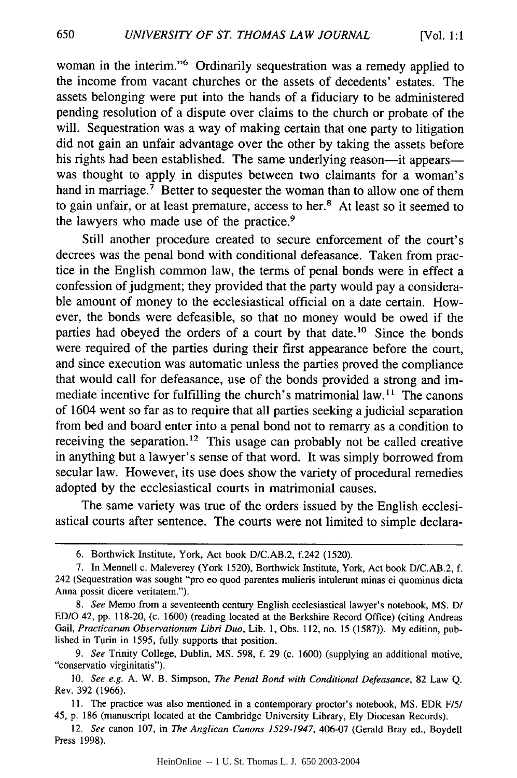woman in the interim."6 Ordinarily sequestration was a remedy applied to the income from vacant churches or the assets of decedents' estates. The assets belonging were put into the hands of a fiduciary to be administered pending resolution of a dispute over claims to the church or probate of the will. Sequestration was a way of making certain that one party to litigation did not gain an unfair advantage over the other by taking the assets before his rights had been established. The same underlying reason-it appearswas thought to apply in disputes between two claimants for a woman's hand in marriage.<sup>7</sup> Better to sequester the woman than to allow one of them to gain unfair, or at least premature, access to her.<sup>8</sup> At least so it seemed to the lawyers who made use of the practice.<sup>9</sup>

Still another procedure created to secure enforcement of the court's decrees was the penal bond with conditional defeasance. Taken from practice in the English common law, the terms of penal bonds were in effect a confession of judgment; they provided that the party would pay a considerable amount of money to the ecclesiastical official on a date certain. However, the bonds were defeasible, so that no money would be owed if the parties had obeyed the orders of a court by that date.<sup>10</sup> Since the bonds were required of the parties during their first appearance before the court, and since execution was automatic unless the parties proved the compliance that would call for defeasance, use of the bonds provided a strong and immediate incentive for fulfilling the church's matrimonial law.<sup>11</sup> The canons of 1604 went so far as to require that all parties seeking a judicial separation from bed and board enter into a penal bond not to remarry as a condition to receiving the separation.<sup>12</sup> This usage can probably not be called creative in anything but a lawyer's sense of that word. It was simply borrowed from secular law. However, its use does show the variety of procedural remedies adopted by the ecclesiastical courts in matrimonial causes.

The same variety was true of the orders issued by the English ecclesiastical courts after sentence. The courts were not limited to simple declara-

HeinOnline -- 1 U. St. Thomas L. J. 650 2003-2004

<sup>6.</sup> Borthwick Institute, York, Act book D/C.AB.2, f.242 (1520).

<sup>7.</sup> In Mennell c. Maleverey (York 1520), Borthwick Institute, York, Act book D/C.AB.2, f. 242 (Sequestration was sought "pro eo quod parentes mulieris intulerunt minas ei quominus dicta Anna possit dicere veritatem.").

*<sup>8.</sup>* See Memo from a seventeenth century English ecclesiastical lawyer's notebook, MS. **D/** ED/O 42, pp. 118-20, (c. 1600) (reading located at the Berkshire Record Office) (citing Andreas Gail, *Practicarum Observationum Libri Duo,* Lib. 1, Obs. 112, no. 15 (1587)). My edition, published in Turin in 1595, fully supports that position.

*<sup>9.</sup> See* Trinity College, Dublin, MS. 598, f. 29 (c. 1600) (supplying an additional motive, "conservatio virginitatis").

<sup>10.</sup> *See* e.g. A. W. B. Simpson, *The Penal Bond with Conditional Defeasance,* 82 Law Q. Rev. 392 (1966).

<sup>11.</sup> The practice was also mentioned in a contemporary proctor's notebook, MS. EDR *F/I/* 45, p. 186 (manuscript located at the Cambridge University Library, Ely Diocesan Records).

<sup>12.</sup> *See* canon 107, in *The Anglican Canons 1529-1947,* 406-07 (Gerald Bray ed., Boydell Press 1998).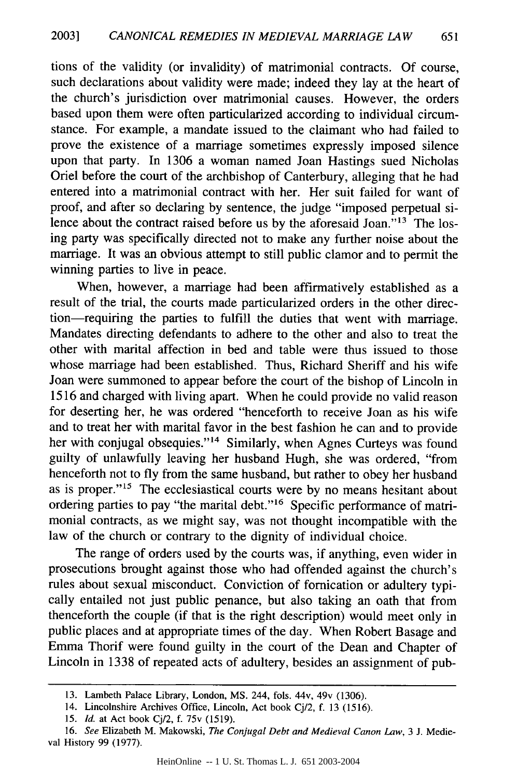tions of the validity (or invalidity) of matrimonial contracts. Of course, such declarations about validity were made; indeed they lay at the heart of the church's jurisdiction over matrimonial causes. However, the orders based upon them were often particularized according to individual circumstance. For example, a mandate issued to the claimant who had failed to prove the existence of a marriage sometimes expressly imposed silence upon that party. In 1306 a woman named Joan Hastings sued Nicholas Oriel before the court of the archbishop of Canterbury, alleging that he had entered into a matrimonial contract with her. Her suit failed for want of proof, and after so declaring by sentence, the judge "imposed perpetual silence about the contract raised before us by the aforesaid Joan."<sup>13</sup> The losing party was specifically directed not to make any further noise about the marriage. It was an obvious attempt to still public clamor and to permit the winning parties to live in peace.

When, however, a marriage had been affirmatively established as a result of the trial, the courts made particularized orders in the other direction-requiring the parties to fulfill the duties that went with marriage. Mandates directing defendants to adhere to the other and also to treat the other with marital affection in bed and table were thus issued to those whose marriage had been established. Thus, Richard Sheriff and his wife Joan were summoned to appear before the court of the bishop of Lincoln in 1516 and charged with living apart. When he could provide no valid reason for deserting her, he was ordered "henceforth to receive Joan as his wife and to treat her with marital favor in the best fashion he can and to provide her with conjugal obsequies."<sup>14</sup> Similarly, when Agnes Curteys was found guilty of unlawfully leaving her husband Hugh, she was ordered, "from henceforth not to fly from the same husband, but rather to obey her husband as is proper."<sup>15</sup> The ecclesiastical courts were by no means hesitant about ordering parties to pay "the marital debt."<sup>16</sup> Specific performance of matrimonial contracts, as we might say, was not thought incompatible with the law of the church or contrary to the dignity of individual choice.

The range of orders used by the courts was, if anything, even wider in prosecutions brought against those who had offended against the church's rules about sexual misconduct. Conviction of fornication or adultery typically entailed not just public penance, but also taking an oath that from thenceforth the couple (if that is the right description) would meet only in public places and at appropriate times of the day. When Robert Basage and Emma Thorif were found guilty in the court of the Dean and Chapter of Lincoln in 1338 of repeated acts of adultery, besides an assignment of pub-

<sup>13.</sup> Lambeth Palace Library, London, MS. 244, fols. 44v, 49v (1306).

<sup>14.</sup> Lincolnshire Archives Office, Lincoln, Act book Cj/2, f. 13 (1516).

<sup>15.</sup> *Id.* at Act book Cj/2, f. 75v (1519).

<sup>16.</sup> *See* Elizabeth M. Makowski, *The Conjugal Debt and Medieval Canon Law,* 3 **J.** Medieval History 99 (1977).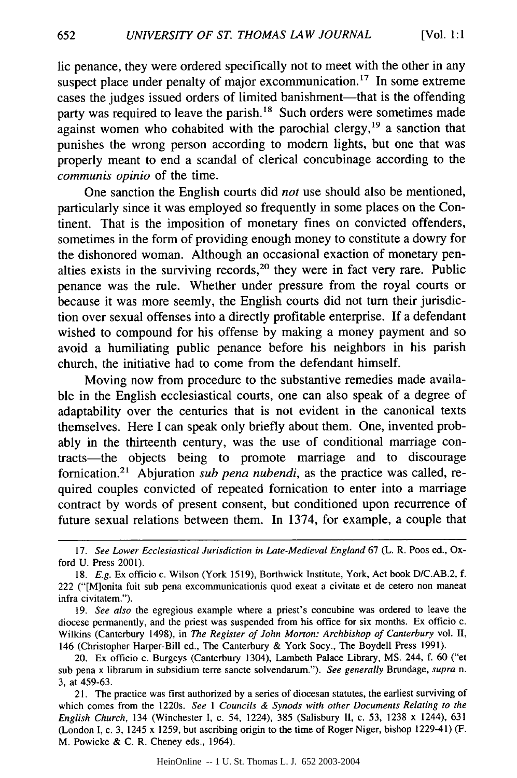lic penance, they were ordered specifically not to meet with the other in any suspect place under penalty of major excommunication.<sup>17</sup> In some extreme cases the judges issued orders of limited banishment-that is the offending party was required to leave the parish.<sup>18</sup> Such orders were sometimes made against women who cohabited with the parochial clergy,<sup>19</sup> a sanction that punishes the wrong person according to modem lights, but one that was properly meant to end a scandal of clerical concubinage according to the *communis opinio* of the time.

One sanction the English courts did *not* use should also be mentioned, particularly since it was employed so frequently in some places on the Continent. That is the imposition of monetary fines on convicted offenders, sometimes in the form of providing enough money to constitute a dowry for the dishonored woman. Although an occasional exaction of monetary penalties exists in the surviving records,<sup>20</sup> they were in fact very rare. Public penance was the rule. Whether under pressure from the royal courts or because it was more seemly, the English courts did not turn their jurisdiction over sexual offenses into a directly profitable enterprise. If a defendant wished to compound for his offense by making a money payment and so avoid a humiliating public penance before his neighbors in his parish church, the initiative had to come from the defendant himself.

Moving now from procedure to the substantive remedies made available in the English ecclesiastical courts, one can also speak of a degree of adaptability over the centuries that is not evident in the canonical texts themselves. Here I can speak only briefly about them. One, invented probably in the thirteenth century, was the use of conditional marriage contracts-the objects being to promote marriage and to discourage fornication.<sup>21</sup> Abjuration *sub pena nubendi*, as the practice was called, required couples convicted of repeated fornication to enter into a marriage contract by words of present consent, but conditioned upon recurrence of future sexual relations between them. In 1374, for example, a couple that

HeinOnline -- 1 U. St. Thomas L. J. 652 2003-2004

<sup>17.</sup> *See Lower Ecclesiastical Jurisdiction in Late-Medieval England* 67 (L. R. Poos ed., Oxford U. Press 2001).

<sup>18.</sup> *E.g.* Ex officio c. Wilson (York 1519), Borthwick Institute, York, Act book D/C.AB.2, f. 222 ("[M]onita fuit sub pena excommunicationis quod exeat a civitate et de cetero non maneat infra civitatem.").

<sup>19.</sup> *See also* the egregious example where a priest's concubine was ordered to leave the diocese permanently, and the priest was suspended from his office for six months. Ex officio c. Wilkins (Canterbury 1498), in *The Register of John Morton: Archbishop of Canterbury* vol. II, 146 (Christopher Harper-Bill ed., The Canterbury & York Socy., The Boydell Press 1991).

<sup>20.</sup> Ex officio c. Burgeys (Canterbury 1304), Lambeth Palace Library, MS. 244, f. 60 ("et sub pena x librarum in subsidium terre sancte solvendarum."). *See generally* Brundage, *supra n.* 3, at 459-63.

<sup>21.</sup> The practice was first authorized by a series of diocesan statutes, the earliest surviving of which comes from the 1220s. *See 1 Councils & Synods with other Documents Relating to the English Church,* 134 (Winchester I, c. 54, 1224), 385 (Salisbury II, c. 53, 1238 x 1244), 631 (London I, c. 3, 1245 x 1259, but ascribing origin to the time of Roger Niger, bishop 1229-41) (F. M. Powicke & C. R. Cheney eds., 1964).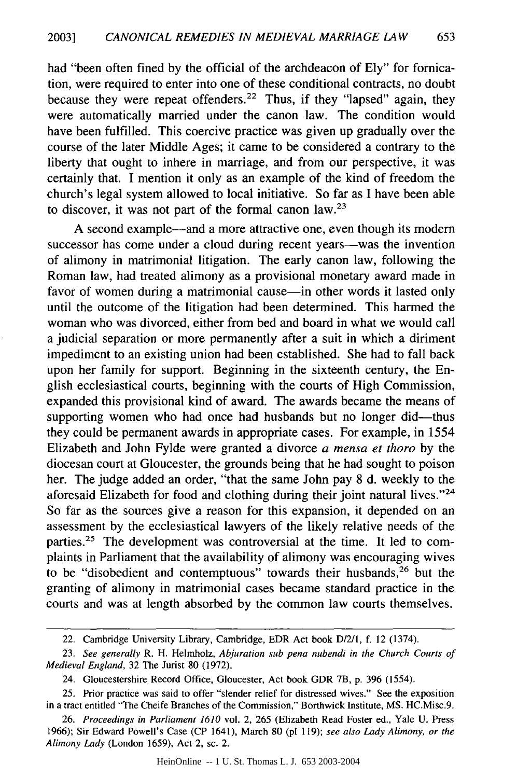had "been often fined by the official of the archdeacon of Ely" for fornication, were required to enter into one of these conditional contracts, no doubt because they were repeat offenders.<sup>22</sup> Thus, if they "lapsed" again, they were automatically married under the canon law. The condition would have been fulfilled. This coercive practice was given up gradually over the course of the later Middle Ages; it came to be considered a contrary to the liberty that ought to inhere in marriage, and from our perspective, it was certainly that. I mention it only as an example of the kind of freedom the church's legal system allowed to local initiative. So far as I have been able to discover, it was not part of the formal canon law.23

A second example-and a more attractive one, even though its modern successor has come under a cloud during recent years—was the invention of alimony in matrimonial litigation. The early canon law, following the Roman law, had treated alimony as a provisional monetary award made in favor of women during a matrimonial cause—in other words it lasted only until the outcome of the litigation had been determined. This harmed the woman who was divorced, either from bed and board in what we would call a judicial separation or more permanently after a suit in which a diriment impediment to an existing union had been established. She had to fall back upon her family for support. Beginning in the sixteenth century, the English ecclesiastical courts, beginning with the courts of High Commission, expanded this provisional kind of award. The awards became the means of supporting women who had once had husbands but no longer did-thus they could be permanent awards in appropriate cases. For example, in 1554 Elizabeth and John Fylde were granted a divorce *a mensa* et *thoro* by the diocesan court at Gloucester, the grounds being that he had sought to poison her. The judge added an order, "that the same John pay 8 d. weekly to the aforesaid Elizabeth for food and clothing during their joint natural lives."<sup>24</sup> So far as the sources give a reason for this expansion, it depended on an assessment by the ecclesiastical lawyers of the likely relative needs of the parties.<sup>25</sup> The development was controversial at the time. It led to complaints in Parliament that the availability of alimony was encouraging wives to be "disobedient and contemptuous" towards their husbands,<sup>26</sup> but the granting of alimony in matrimonial cases became standard practice in the courts and was at length absorbed by the common law courts themselves.

HeinOnline -- 1 U. St. Thomas L. J. 653 2003-2004

<sup>22.</sup> Cambridge University Library, Cambridge, EDR Act book D/2/1, f. 12 (1374).

<sup>23.</sup> *See generally* R. H. Helmholz, *Abjuration sub pena nubendi in the Church Courts of Medieval England,* 32 The Jurist 80 (1972).

<sup>24.</sup> Gloucestershire Record Office, Gloucester, Act book GDR 7B, p. 396 (1554).

<sup>25.</sup> Prior practice was said to offer "slender relief for distressed wives." See the exposition in a tract entitled "The Cheife Branches of the Commission," Borthwick Institute, MS. HC.Misc.9.

<sup>26.</sup> *Proceedings in Parliament 1610* vol. 2, 265 (Elizabeth Read Foster ed., Yale U. Press 1966); Sir Edward Powell's Case (CP 1641), March 80 (p1 119); *see also Lady Alimony, or the Alimony Lady* (London 1659), Act 2, sc. 2.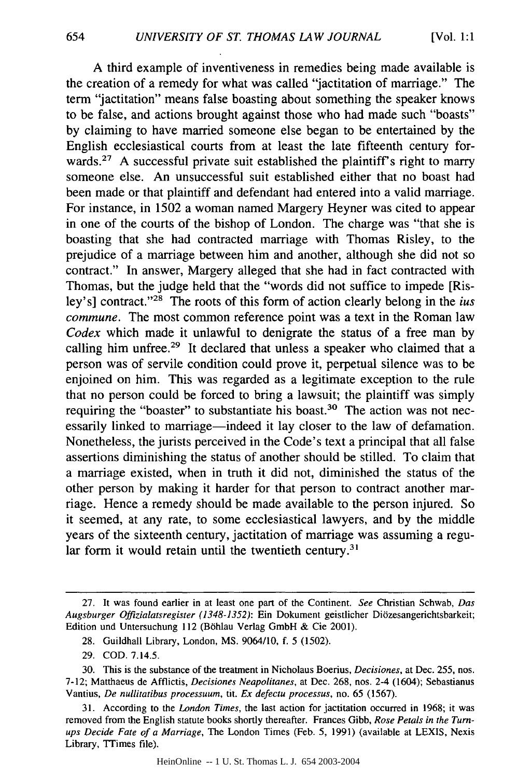A third example of inventiveness in remedies being made available is the creation of a remedy for what was called "jactitation of marriage." The term "jactitation" means false boasting about something the speaker knows to be false, and actions brought against those who had made such "boasts" by claiming to have married someone else began to be entertained by the English ecclesiastical courts from at least the late fifteenth century forwards.<sup>27</sup> A successful private suit established the plaintiff's right to marry someone else. An unsuccessful suit established either that no boast had been made or that plaintiff and defendant had entered into a valid marriage. For instance, in 1502 a woman named Margery Heyner was cited to appear in one of the courts of the bishop of London. The charge was "that she is boasting that she had contracted marriage with Thomas Risley, to the prejudice of a marriage between him and another, although she did not so contract." In answer, Margery alleged that she had in fact contracted with Thomas, but the judge held that the "words did not suffice to impede [Risley's] contract."<sup>28</sup> The roots of this form of action clearly belong in the *ius commune.* The most common reference point was a text in the Roman law *Codex* which made it unlawful to denigrate the status of a free man by calling him unfree.<sup>29</sup> It declared that unless a speaker who claimed that a person was of servile condition could prove it, perpetual silence was to be enjoined on him. This was regarded as a legitimate exception to the rule that no person could be forced to bring a lawsuit; the plaintiff was simply requiring the "boaster" to substantiate his boast.<sup>30</sup> The action was not necessarily linked to marriage—indeed it lay closer to the law of defamation. Nonetheless, the jurists perceived in the Code's text a principal that all false assertions diminishing the status of another should be stilled. To claim that a marriage existed, when in truth it did not, diminished the status of the other person by making it harder for that person to contract another marriage. Hence a remedy should be made available to the person injured. So it seemed, at any rate, to some ecclesiastical lawyers, and by the middle years of the sixteenth century, jactitation of marriage was assuming a regular form it would retain until the twentieth century.<sup>31</sup>

29. COD. 7.14.5.

HeinOnline -- 1 U. St. Thomas L. J. 654 2003-2004

<sup>27.</sup> It was found earlier in at least one part of the Continent. *See* Christian Schwab, *Das Augsburger Offizialatsregister (1348-1352):* Ein Dokument geistlicher Diozesangerichtsbarkeit; Edition und Untersuchung 112 (Böhlau Verlag GmbH & Cie 2001).

<sup>28.</sup> Guildhall Library, London, MS. 9064/10, f. 5 (1502).

**<sup>30.</sup>** This is the substance of the treatment in Nicholaus Boerius, *Decisiones,* at Dec. 255, nos. 7-12; Matthaeus de Afflictis, *Decisiones Neapolitanes,* at Dec. 268, nos. 2-4 (1604); Sebastianus Vantius, *De nullitatibus processuum, tit.* Ex *defectu processus,* no. 65 (1567).

<sup>31.</sup> According to the *London Times,* the last action for jactitation occurred in 1968; it was removed from the English statute books shortly thereafter. Frances Gibb, *Rose Petals in the Turnups Decide Fate of a Marriage,* The London Times (Feb. 5, 1991) (available at LEXIS, Nexis Library, Trimes file).